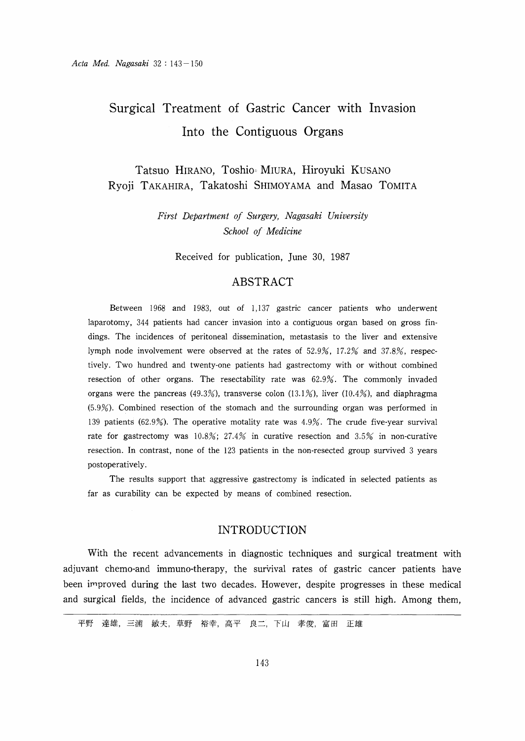# Surgical Treatment of Gastric Cancer with Invasion Into the Contiguous Organs

Tatsuo HIRANO, Toshio. MIURA, Hiroyuki KUSANO Ryoji TAKAHIRA, Takatoshi SHIMOYAMA and Masao TOMITA

> First Department of Surgery, Nagasaki University School of Medicine

Received for publication, June 30, 1987

### ABSTRACT

Between 1968 and 1983, out of 1,137 gastric cancer patients who underwent laparotomy, 344 patients had cancer invasion into a contiguous organ based on gross findings. The incidences of peritoneal dissemination, metastasis to the liver and extensive lymph node involvement were observed at the rates of 52.9%, 17.2% and 37.8%, respectively. Two hundred and twenty-one patients had gastrectomy with or without combined resection of other organs. The resectability rate was 62.9%. The commonly invaded organs were the pancreas (49.3%), transverse colon (13.1%), liver (10.4%), and diaphragma (5.9%). Combined resection of the stomach and the surrounding organ was performed in 139 patients (62.9%). The operative motality rate was 4.9%. The crude five-year survival rate for gastrectomy was  $10.8\%$ ;  $27.4\%$  in curative resection and  $3.5\%$  in non-curative resection. In contrast, none of the 123 patients in the non-resected group survived 3 years postoperatively.

 The results support that aggressive gastrectomy is indicated in selected patients as far as curability can be expected by means of combined resection.

# INTRODUCTION

With the recent advancements in diagnostic techniques and surgical treatment with adjuvant chemo-and immuno-therapy, the survival rates of gastric cancer patients have been improved during the last two decades. However, despite progresses in these medical and surgical fields, the incidence of advanced gastric cancers is still high. Among them,

平野 達雄,三浦 敏夫,草野 裕幸,高平 良二,下山 孝俊,富田 正雄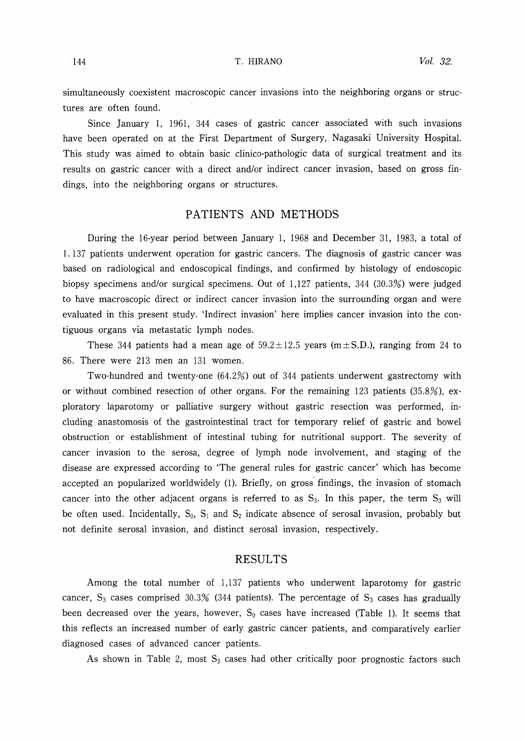simultaneously coexistent macroscopic cancer invasions into the neighboring organs or structures are often found.

Since January 1, 1961, 344 cases of gastric cancer associated with such invasions have been operated on at the First Department of Surgery, Nagasaki University Hospital. This study was aimed to obtain basic clinico-pathologic data of surgical treatment and its results on gastric cancer with a direct and/or indirect cancer invasion, based on gross findings, into the neighboring organs or structures.

# PATIENTS AND METHODS

During the 16-year period between January 1, 1968 and December 31, 1983, a total of 1, 137 patients underwent operation for gastric cancers. The diagnosis of gastric cancer was based on radiological and endoscopical findings, and confirmed by histology of endoscopic biopsy specimens and/or surgical specimens. Out of 1,127 patients, 344 (30.3%) were judged to have macroscopic direct or indirect cancer invasion into the surrounding organ and were evaluated in this present study. 'Indirect invasion' here implies cancer invasion into the contiguous organs via metastatic lymph nodes.

These 344 patients had a mean age of  $59.2 \pm 12.5$  years (m $\pm$ S.D.), ranging from 24 to 86. There were 213 men an 131 women.

Two-hundred and twenty-one  $(64.2%)$  out of 344 patients underwent gastrectomy with or without combined resection of other organs. For the remaining 123 patients  $(35.8\%)$ , exploratory laparotomy or palliative surgery without gastric resection was performed, including anastomosis of the gastrointestinal tract for temporary relief of gastric and bowel obstruction. or establishment of intestinal tubing for nutritional support. The severity of cancer invasion to the serosa, degree of lymph node involvement, and staging of the disease are expressed according to 'The general rules for gastric cancer' which has become accepted an popularized worldwidely (1). Briefly, on gross findings, the invasion of stomach cancer into the other adjacent organs is referred to as  $S_3$ . In this paper, the term  $S_3$  will be often used. Incidentally,  $S_0$ ,  $S_1$  and  $S_2$  indicate absence of serosal invasion, probably but not definite serosal invasion, and distinct serosal invasion, respectively.

## RESULTS

Among the total number of 1,137 patients who underwent laparotomy for gastric cancer,  $S_3$  cases comprised 30.3% (344 patients). The percentage of  $S_3$  cases has gradually been decreased over the years, however,  $S_0$  cases have increased (Table 1). It seems that this reflects an increased number of early gastric cancer patients, and comparatively earlier diagnosed cases of advanced cancer patients.

As shown in Table 2, most  $S_3$  cases had other critically poor prognostic factors such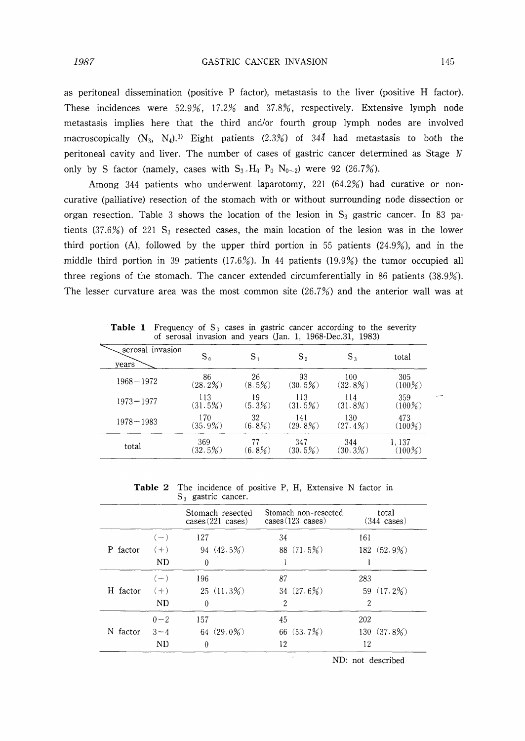as peritoneal dissemination (positive P factor), metastasis to the liver (positive H factor). These incidences were 52.9%, 17.2% and 37.8%, respectively. Extensive lymph node metastasis implies here that the third and/or fourth group lymph nodes are involved macroscopically  $(N_3, N_4)$ .<sup>1)</sup> Eight patients  $(2.3%)$  of  $34\overline{4}$  had metastasis to both the peritoneal cavity and liver. The number of cases of gastric cancer determined as Stage IV only by S factor (namely, cases with  $S_{3}H_0 P_0 N_{0\sim 2}$ ) were 92 (26.7%).

Among 344 patients who underwent laparotomy, 221  $(64.2%)$  had curative or noncurative (palliative) resection of the stomach with or without surrounding node dissection or organ resection. Table 3 shows the location of the lesion in  $S_3$  gastric cancer. In 83 patients (37.6%) of 221  $S_3$  resected cases, the main location of the lesion was in the lower third portion (A), followed by the upper third portion in 55 patients  $(24.9%)$ , and in the middle third portion in 39 patients  $(17.6\%)$ . In 44 patients  $(19.9\%)$  the tumor occupied all three regions of the stomach. The cancer extended circumferentially in 86 patients  $(38.9\%)$ . The lesser curvature area was the most common site  $(26.7%)$  and the anterior wall was at

Table 1 Frequency of  $S_3$  cases in gastric cancer according to the severity of serosal invasion and years (Jan. 1, 1968-Dec.31, 1983)

| serosal invasion<br>years | ${\rm S}_0$       | $S_{1}$         | $S_{2}$           | $S_3$             | total              |  |
|---------------------------|-------------------|-----------------|-------------------|-------------------|--------------------|--|
| $1968 - 1972$             | 86<br>(28.2%)     | 26<br>$(8.5\%)$ | 93<br>(30.5%)     | 100<br>$(32.8\%)$ | 305<br>$(100\%)$   |  |
| $1973 - 1977$             | 113<br>(31.5%)    | 19<br>$(5.3\%)$ | 113<br>(31.5%)    | 114<br>$(31.8\%)$ | 359<br>$(100\%)$   |  |
| $1978 - 1983$             | 170<br>$(35.9\%)$ | 32<br>$(6.8\%)$ | 141<br>$(29.8\%)$ | 130<br>$(27.4\%)$ | 473<br>$(100\%)$   |  |
| total                     | 369<br>(32.5%)    | $(6.8\%)$       | 347<br>$(30.5\%)$ | 344<br>(30.3%)    | 1,137<br>$(100\%)$ |  |

Table 2 The incidence of positive P, H, Extensive N factor in  $S_3$  gastric cancer.

|             |         | Stomach resected<br>cases (221 cases) | Stomach non-resected<br>$cases (123 \text{ cases})$ | total<br>$(344 \text{ cases})$ |
|-------------|---------|---------------------------------------|-----------------------------------------------------|--------------------------------|
|             | $(-)$   | 127                                   | 34                                                  | 161                            |
| factor<br>P | $(+)$   | 94(42.5%)                             | 88(71.5%)                                           | 182 (52.9%)                    |
|             | ND      | 0                                     |                                                     |                                |
|             | $(-)$   | 196                                   | 87                                                  | 283                            |
| H factor    | $(+)$   | 25(11.3%)                             | 34 $(27.6%)$                                        | 59 (17.2%)                     |
|             | ND      | $\theta$                              | 2                                                   | $\overline{2}$                 |
|             | $0 - 2$ | 157                                   | 45                                                  | 202                            |
| factor<br>Ν | $3 - 4$ | 64 $(29.0\%)$                         | 66 (53.7%)                                          | 130 (37.8%)                    |
|             | ND      | $\theta$                              | 12                                                  | 12                             |

ND: not described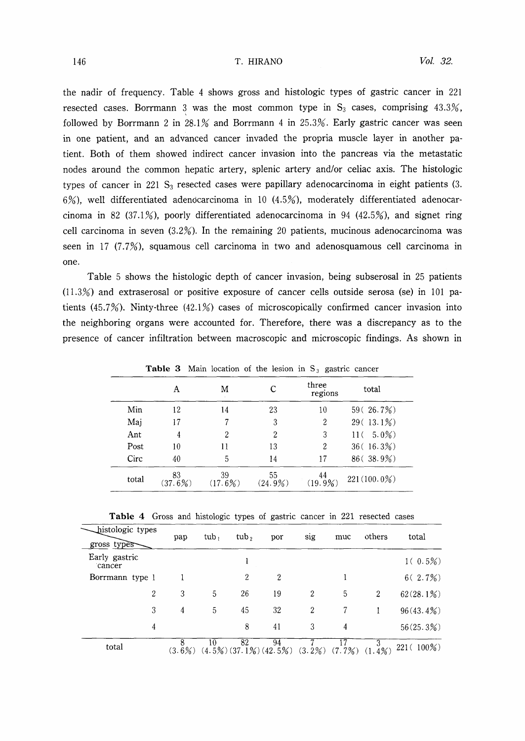the nadir of frequency. Table 4 shows gross and histologic types of gastric cancer in 221 resected cases. Borrmann 3 was the most common type in  $S_3$  cases, comprising 43.3%, followed by Borrmann 2 in 28.1% and Borrmann 4 in 25.3%. Early gastric cancer was seen in one patient, and an advanced cancer invaded the propria muscle layer in another patient. Both of them showed indirect cancer invasion into the pancreas via the metastatic nodes around the common hepatic artery, splenic artery and/or celiac axis. The histologic types of cancer in 221  $S_3$  resected cases were papillary adenocarcinoma in eight patients (3.  $6\%$ ), well differentiated adenocarcinoma in 10 (4.5%), moderately differentiated adenocarcinoma in 82 (37.1%), poorly differentiated adenocarcinoma in 94 (42.5%), and signet ring cell carcinoma in seven  $(3.2\%)$ . In the remaining 20 patients, mucinous adenocarcinoma was seen in  $17$  (7.7%), squamous cell carcinoma in two and adenosquamous cell carcinoma in one.

Table 5 shows the histologic depth of cancer invasion, being subserosal in 25 patients  $(11.3%)$  and extraserosal or positive exposure of cancer cells outside serosa (se) in 101 patients (45.7%). Ninty-three (42.1%) cases of microscopically confirmed cancer invasion into the neighboring organs were accounted for. Therefore, there was a discrepancy as to the presence of cancer infiltration between macroscopic and microscopic findings. As shown in

|       |               | <b>Table 3</b> Main location of the lesion in $S_3$ gastric cancer |               |                  |                |
|-------|---------------|--------------------------------------------------------------------|---------------|------------------|----------------|
|       | A             | M                                                                  | С             | three<br>regions | total          |
| Min   | 12            | 14                                                                 | 23            | 10               | 59(26.7%)      |
| Mai   | 17            | 7                                                                  | 3             | 2                | $29(13.1\%)$   |
| Ant   | 4             | 2                                                                  | 2             | 3                | $11(5.0\%)$    |
| Post  | 10            | 11                                                                 | 13            | 2                | 36(16.3%)      |
| Circ  | 40            | 5                                                                  | 14            | 17               | $86$ (38.9%)   |
| total | 83<br>(37.6%) | 39<br>(17.6%)                                                      | 55<br>(24.9%) | 44<br>(19.9%)    | $221(100.0\%)$ |

**Table 3** Main location of the lesion in  $S_3$  gastric cancer

|  | <b>Table 4</b> Gross and histologic types of gastric cancer in 221 resected cases |  |  |  |  |
|--|-----------------------------------------------------------------------------------|--|--|--|--|
|  |                                                                                   |  |  |  |  |

| histologic types<br>gross types | pap       | tub, | tub <sub>2</sub> | por                                   | sig            | muc    | others         | total        |
|---------------------------------|-----------|------|------------------|---------------------------------------|----------------|--------|----------------|--------------|
| Early gastric<br>cancer         |           |      |                  |                                       |                |        |                | $1(0.5\%)$   |
| Borrmann type 1                 |           |      | 2                | 2                                     |                |        |                | 6(2.7%)      |
| $\overline{2}$                  | 3         | 5    | 26               | 19                                    | $\overline{2}$ | 5      | $\overline{2}$ | 62(28.1%)    |
| 3                               | 4         | 5    | 45               | 32                                    | $\overline{2}$ |        |                | $96(43.4\%)$ |
| 4                               |           |      | 8                | 41                                    | 3              | 4      |                | 56(25.3%)    |
| total                           | $(3.6\%)$ | 10   | 82               | 94<br>$(4.5\%)$ $(37.1\%)$ $(42.5\%)$ | $(3.2\%)$      | (7.7%) | $(1.4\%)$      | $221(100\%)$ |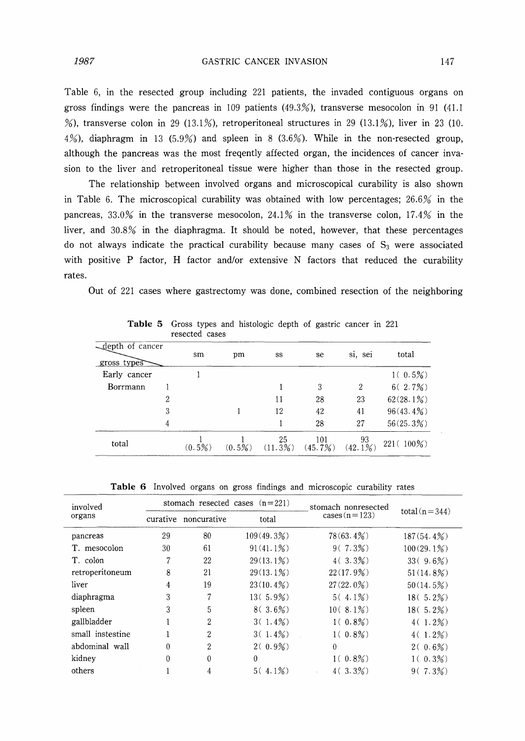Table 6, in the resected group including 221 patients, the invaded contiguous organs on gross findings were the pancreas in 109 patients  $(49.3\%)$ , transverse mesocolon in 91 (41.1) %), transverse colon in 29 (13.1%), retroperitoneal structures in 29 (13.1%), liver in 23 (10.  $4\%$ ), diaphragm in 13 (5.9%) and spleen in 8 (3.6%). While in the non-resected group, although the pancreas was the most freqently affected organ, the incidences of cancer invasion to the liver and retroperitoneal tissue were higher than those in the resected group.

The relationship between involved organs and microscopical curability is also shown in Table 6. The microscopical curability was obtained with low percentages;  $26.6%$  in the pancreas, 33.0% in the transverse mesocolon, 24.1% in the transverse colon, 17.4% in the liver, and 30.8% in the diaphragma. It should be noted, however, that these percentages do not always indicate the practical curability because many cases of  $S_3$  were associated with positive P factor. H factor and/or extensive N factors that reduced the curability rates.

Out of 221 cases where gastrectomy was done, combined resection of the neighboring

|                                |   | ICOUCCU COOCO |           |               |                |              |              |
|--------------------------------|---|---------------|-----------|---------------|----------------|--------------|--------------|
| depth of cancer<br>gross types |   | sm            | pm        | SS            | se             | si, sei      | total        |
| Early cancer                   |   |               |           |               |                |              | $1(0.5\%)$   |
| Borrmann                       |   |               |           |               | 3              | 2            | 6(2.7%)      |
|                                | 2 |               |           | 11            | 28             | 23           | 62(28.1%)    |
|                                | 3 |               |           | 12            | 42             | 41           | $96(43.4\%)$ |
|                                | 4 |               |           |               | 28             | 27           | 56(25.3%)    |
| total                          |   | $(0.5\%)$     | $(0.5\%)$ | 25<br>(11.3%) | 101<br>(45.7%) | 93<br>(42.1% | 221 (100%)   |

Table 5 Gross types and histologic depth of gastric cancer in 221 resected cases

Table 6 Involved organs on gross findings and microscopic curability rates

| involved         | stomach resected cases $(n=221)$ |                      |              | stomach nonresected | $total(n=344)$ |  |
|------------------|----------------------------------|----------------------|--------------|---------------------|----------------|--|
| organs           | curative                         | noncurative<br>total |              | $cases (n=123)$     |                |  |
| pancreas         | 29                               | 80                   | 109(49.3%)   | $78(63.4\%)$        | 187(54.4%)     |  |
| T. mesocolon     | 30                               | 61                   | $91(41.1\%)$ | $9(7.3\%)$          | 100(29.1%)     |  |
| T. colon         | 7                                | 22                   | $29(13.1\%)$ | 4(3.3%)             | $33(9.6\%)$    |  |
| retroperitoneum  | 8                                | 21                   | $29(13.1\%)$ | 22(17.9%)           | 51(14.8%)      |  |
| liver            | 4                                | 19                   | $23(10.4\%)$ | $27(22.0\%)$        | 50(14.5%)      |  |
| diaphragma       | 3                                | 7                    | $13(5.9\%)$  | $5(4.1\%)$          | $18(5.2\%)$    |  |
| spleen           | 3                                | 5                    | $8(3.6\%)$   | $10(8.1\%)$         | $18(5.2\%)$    |  |
| gallbladder      |                                  | 2                    | 3(1.4%)      | $1(0.8\%)$          | $4(1.2\%)$     |  |
| small instestine |                                  | 2                    | 3(1.4%)      | $1(0.8\%)$          | $4(1.2\%)$     |  |
| abdominal wall   | $\theta$                         | 2                    | $2(0.9\%)$   | 0                   | $2(0.6\%)$     |  |
| kidney           | $\Omega$                         | 0                    | $\Omega$     | $1(0.8\%)$          | $1(0.3\%)$     |  |
| others           |                                  | 4                    | $5(4.1\%)$   | $4(3.3\%)$          | 9(7.3%)        |  |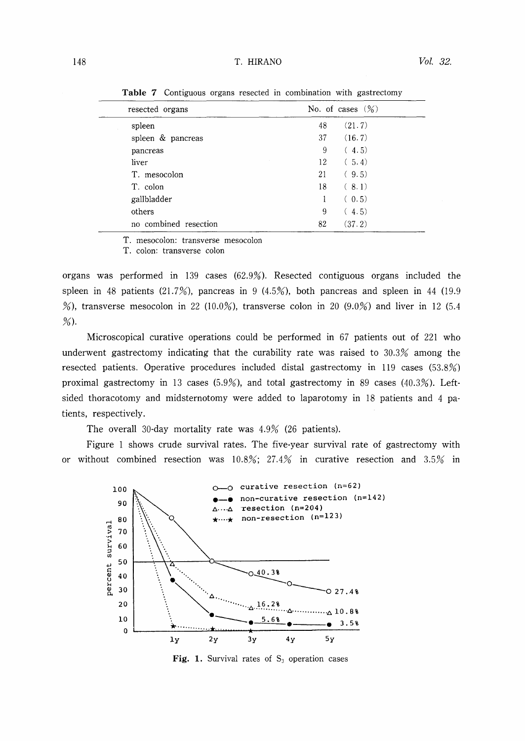#### 148 **T. HIRANO T. HIRANO Vol. 32.**

| resected organs       | No. of cases $(\%)$ |
|-----------------------|---------------------|
| spleen                | (21.7)<br>48        |
| spleen & pancreas     | (16.7)<br>37        |
| pancreas              | 9<br>(4.5)          |
| liver                 | (5.4)<br>12         |
| T. mesocolon          | 21<br>(9.5)         |
| T. colon              | 18<br>(8.1)         |
| gallbladder           | (0.5)<br>1          |
| others                | 9<br>(4.5)          |
| no combined resection | 82<br>(37.2)        |

Table 7 Contiguous organs resected in combination with gastrectomy

T. mesocolon: transverse mesocolon

T. colon: transverse colon

organs was performed in 139 cases  $(62.9\%)$ . Resected contiguous organs included the spleen in 48 patients  $(21.7%)$ , pancreas in 9  $(4.5%)$ , both pancreas and spleen in 44 (19.9) %), transverse mesocolon in 22 (10.0%), transverse colon in 20 (9.0%) and liver in 12 (5.4  $%$ ).

Microscopical curative operations could be performed in 67 patients out of 221 who underwent gastrectomy indicating that the curability rate was raised to 30.3% among the resected patients. Operative procedures included distal gastrectomy in 119 cases  $(53.8\%)$ proximal gastrectomy in 13 cases (5.9%), and total gastrectomy in 89 cases (40.3%). Leftsided thoracotomy and midsternotomy were added to laparotomy in 18 patients and 4 patients, respectively.

The overall 30-day mortality rate was  $4.9\%$  (26 patients).

Figure I shows crude survival rates. The five-year survival rate of gastrectomy with or without combined resection was  $10.8\%$ ;  $27.4\%$  in curative resection and  $3.5\%$  in



Fig. 1. Survival rates of  $S_3$  operation cases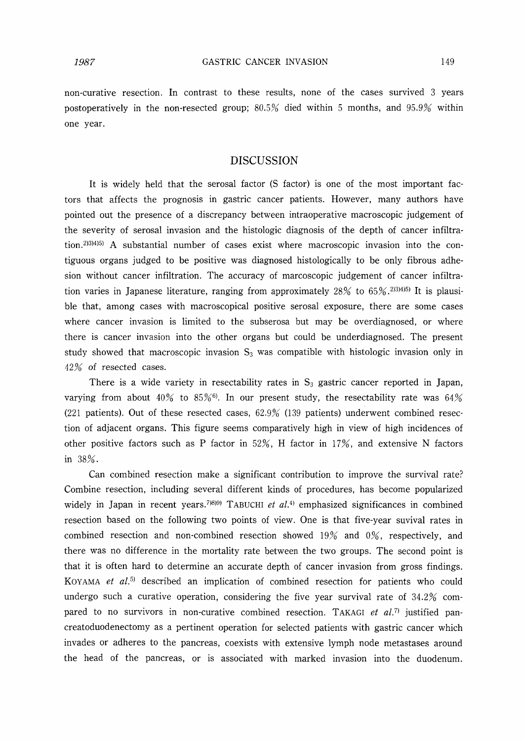non-curative resection. In contrast to these results, none of the cases survived 3 years postoperatively in the non-resected group;  $80.5\%$  died within 5 months, and  $95.9\%$  within one year.

#### DISCUSSION

It is widely held that the serosal factor (S factor) is one of the most important factors that affects the prognosis in gastric cancer patients. However, many authors have pointed out the presence of a discrepancy between intraoperative macroscopic judgement of the severity of serosal invasion and the histologic diagnosis of the depth of cancer infiltration.2)3)4)5) A substantial number of cases exist where macroscopic invasion into the contiguous organs judged to be positive was diagnosed histologically to be only fibrous adhesion without cancer infiltration. The accuracy of marcoscopic judgement of cancer infiltration varies in Japanese literature, ranging from approximately 28% to 65%. 2,34,455 It is plausible that, among cases with macroscopical positive serosal exposure, there are some cases where cancer invasion is limited to the subserosa but may be overdiagnosed, or where there is cancer invasion into the other organs but could be underdiagnosed. The present study showed that macroscopic invasion  $S_3$  was compatible with histologic invasion only in 42% of resected cases.

There is a wide variety in resectability rates in  $S_3$  gastric cancer reported in Japan, varying from about  $40\%$  to  $85\%$ <sup>6</sup>. In our present study, the resectability rate was  $64\%$ (221 patients). Out of these resected cases,  $62.9\%$  (139 patients) underwent combined resection of adjacent organs. This figure seems comparatively high in view of high incidences of other positive factors such as P factor in  $52\%$ , H factor in  $17\%$ , and extensive N factors in 38%.

Can combined resection make a significant contribution to improve the survival rate? Combine resection, including several different kinds of procedures, has become popularized widely in Japan in recent years.<sup>7)8)9)</sup> TABUCHI et al.<sup>4)</sup> emphasized significances in combined resection based on the following two points of view. One is that five-year suvival rates in combined resection and non-combined resection showed 19% and O%, respectively, and there was no difference in the mortality rate between the two groups. The second point is that it is often hard to determine an accurate depth of cancer invasion from gross findings. KOYAMA et  $aI$ <sup>5</sup> described an implication of combined resection for patients who could undergo such a curative operation, considering the five year survival rate of  $34.2\%$  compared to no survivors in non-curative combined resection. TAKAGI et al.<sup>7)</sup> justified pancreatoduodenectorny as a pertinent operation for selected patients with gastric cancer which invades or adheres to the pancreas, coexists with extensive lymph node metastases around the head of the pancreas, or is associated with marked invasion into the duodenum.